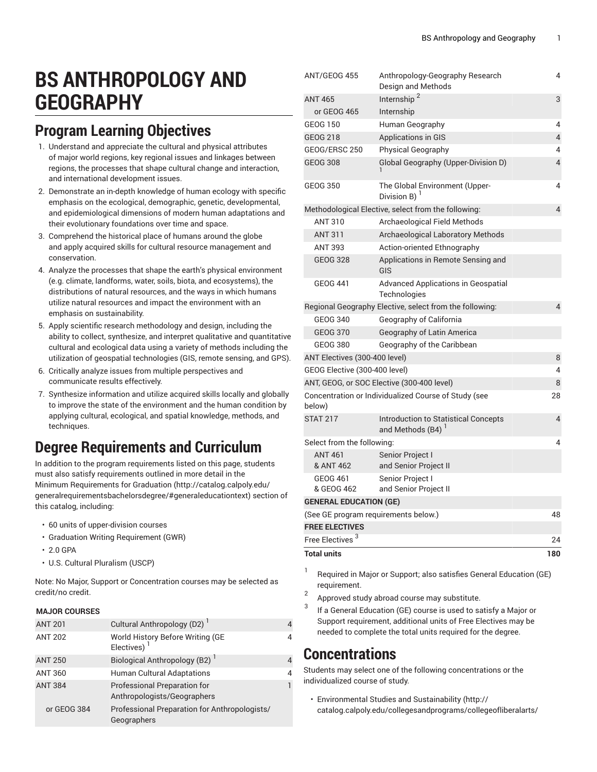# **BS ANTHROPOLOGY AND GEOGRAPHY**

### **Program Learning Objectives**

- 1. Understand and appreciate the cultural and physical attributes of major world regions, key regional issues and linkages between regions, the processes that shape cultural change and interaction, and international development issues.
- 2. Demonstrate an in-depth knowledge of human ecology with specific emphasis on the ecological, demographic, genetic, developmental, and epidemiological dimensions of modern human adaptations and their evolutionary foundations over time and space.
- 3. Comprehend the historical place of humans around the globe and apply acquired skills for cultural resource management and conservation.
- 4. Analyze the processes that shape the earth's physical environment (e.g. climate, landforms, water, soils, biota, and ecosystems), the distributions of natural resources, and the ways in which humans utilize natural resources and impact the environment with an emphasis on sustainability.
- 5. Apply scientific research methodology and design, including the ability to collect, synthesize, and interpret qualitative and quantitative cultural and ecological data using a variety of methods including the utilization of geospatial technologies (GIS, remote sensing, and GPS).
- 6. Critically analyze issues from multiple perspectives and communicate results effectively.
- 7. Synthesize information and utilize acquired skills locally and globally to improve the state of the environment and the human condition by applying cultural, ecological, and spatial knowledge, methods, and techniques.

### **Degree Requirements and Curriculum**

In addition to the program requirements listed on this page, students must also satisfy requirements outlined in more detail in the Minimum [Requirements](http://catalog.calpoly.edu/generalrequirementsbachelorsdegree/#generaleducationtext) for Graduation ([http://catalog.calpoly.edu/](http://catalog.calpoly.edu/generalrequirementsbachelorsdegree/#generaleducationtext) [generalrequirementsbachelorsdegree/#generaleducationtext\)](http://catalog.calpoly.edu/generalrequirementsbachelorsdegree/#generaleducationtext) section of this catalog, including:

- 60 units of upper-division courses
- Graduation Writing Requirement (GWR)
- 2.0 GPA
- U.S. Cultural Pluralism (USCP)

Note: No Major, Support or Concentration courses may be selected as credit/no credit.

#### **MAJOR COURSES**

| <b>ANT 201</b> | Cultural Anthropology (D2) <sup>1</sup>                            |   |
|----------------|--------------------------------------------------------------------|---|
| <b>ANT 202</b> | World History Before Writing (GE<br>Electives) <sup>1</sup>        | 4 |
| <b>ANT 250</b> | Biological Anthropology (B2) <sup>1</sup>                          | 4 |
| <b>ANT 360</b> | <b>Human Cultural Adaptations</b>                                  | 4 |
| <b>ANT 384</b> | <b>Professional Preparation for</b><br>Anthropologists/Geographers |   |
| or GEOG 384    | Professional Preparation for Anthropologists/<br>Geographers       |   |

| <b>Total units</b>                   |                                                                 | 180            |
|--------------------------------------|-----------------------------------------------------------------|----------------|
| Free Electives <sup>3</sup>          |                                                                 | 24             |
| <b>FREE ELECTIVES</b>                |                                                                 |                |
| (See GE program requirements below.) |                                                                 | 48             |
| <b>GENERAL EDUCATION (GE)</b>        |                                                                 |                |
| & GEOG 462                           | and Senior Project II                                           |                |
| <b>GEOG 461</b>                      | Senior Project I                                                |                |
| <b>ANT 461</b><br>& ANT 462          | Senior Project I<br>and Senior Project II                       |                |
| Select from the following:           |                                                                 | 4              |
| <b>STAT 217</b>                      | <b>Introduction to Statistical Concepts</b><br>and Methods (B4) | 4              |
| below)                               | Concentration or Individualized Course of Study (see            | 28             |
|                                      | ANT, GEOG, or SOC Elective (300-400 level)                      | 8              |
| GEOG Elective (300-400 level)        |                                                                 | 4              |
| ANT Electives (300-400 level)        |                                                                 | 8              |
| <b>GEOG 380</b>                      | Geography of the Caribbean                                      |                |
| <b>GEOG 370</b>                      | Geography of Latin America                                      |                |
| <b>GEOG 340</b>                      | Geography of California                                         |                |
|                                      | Regional Geography Elective, select from the following:         | $\overline{4}$ |
| <b>GEOG 441</b>                      | <b>Advanced Applications in Geospatial</b><br>Technologies      |                |
| <b>GEOG 328</b>                      | Applications in Remote Sensing and<br>GIS                       |                |
| <b>ANT 393</b>                       | Action-oriented Ethnography                                     |                |
| <b>ANT 311</b>                       | <b>Archaeological Laboratory Methods</b>                        |                |
| <b>ANT 310</b>                       | Archaeological Field Methods                                    |                |
|                                      | Methodological Elective, select from the following:             | $\overline{4}$ |
| <b>GEOG 350</b>                      | The Global Environment (Upper-<br>Division B) $1$               | 4              |
| <b>GEOG 308</b>                      | Global Geography (Upper-Division D)                             | 4              |
| GEOG/ERSC 250                        | <b>Physical Geography</b>                                       | 4              |
| <b>GEOG 218</b>                      | <b>Applications in GIS</b>                                      | $\overline{4}$ |
| <b>GEOG 150</b>                      | Human Geography                                                 | 4              |
| or GEOG 465                          | Internship                                                      |                |
| <b>ANT 465</b>                       | Internship <sup>2</sup>                                         | 3              |
| ANT/GEOG 455                         | Anthropology-Geography Research<br>Design and Methods           | 4              |

1 Required in Major or Support; also satisfies General Education (GE) requirement.

- $\overline{2}$ Approved study abroad course may substitute.
- 3 If a General Education (GE) course is used to satisfy a Major or Support requirement, additional units of Free Electives may be needed to complete the total units required for the degree.

### **Concentrations**

Students may select one of the following concentrations or the individualized course of study.

• [Environmental](http://catalog.calpoly.edu/collegesandprograms/collegeofliberalarts/socialsciences/bsanthropologyandgeography/environmentalstudiesandsustainabilityconcentration/) Studies and Sustainability ([http://](http://catalog.calpoly.edu/collegesandprograms/collegeofliberalarts/socialsciences/bsanthropologyandgeography/environmentalstudiesandsustainabilityconcentration/) [catalog.calpoly.edu/collegesandprograms/collegeofliberalarts/](http://catalog.calpoly.edu/collegesandprograms/collegeofliberalarts/socialsciences/bsanthropologyandgeography/environmentalstudiesandsustainabilityconcentration/)